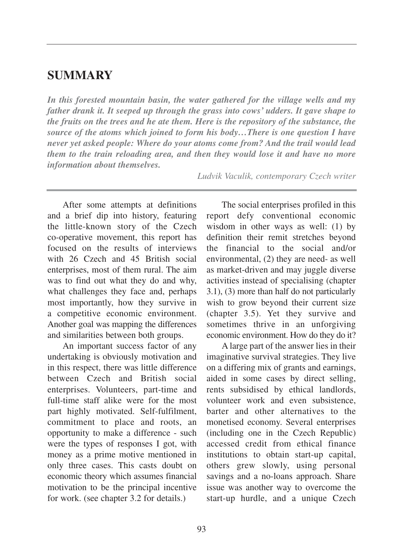## **SUMMARY**

*In this forested mountain basin, the water gathered for the village wells and my father drank it. It seeped up through the grass into cows' udders. It gave shape to the fruits on the trees and he ate them. Here is the repository of the substance, the source of the atoms which joined to form his body…There is one question I have never yet asked people: Where do your atoms come from? And the trail would lead them to the train reloading area, and then they would lose it and have no more information about themselves.*

After some attempts at definitions and a brief dip into history, featuring the little-known story of the Czech co-operative movement, this report has focused on the results of interviews with 26 Czech and 45 British social

enterprises, most of them rural. The aim was to find out what they do and why, what challenges they face and, perhaps most importantly, how they survive in a competitive economic environment. Another goal was mapping the differences and similarities between both groups.

An important success factor of any undertaking is obviously motivation and in this respect, there was little difference between Czech and British social enterprises. Volunteers, part-time and full-time staff alike were for the most part highly motivated. Self-fulfilment, commitment to place and roots, an opportunity to make a difference - such were the types of responses I got, with money as a prime motive mentioned in only three cases. This casts doubt on economic theory which assumes financial motivation to be the principal incentive for work. (see chapter 3.2 for details.)

*Ludvik Vaculik, contemporary Czech writer* 

The social enterprises profiled in this report defy conventional economic wisdom in other ways as well: (1) by definition their remit stretches beyond the financial to the social and/or environmental, (2) they are need- as well as market-driven and may juggle diverse activities instead of specialising (chapter 3.1), (3) more than half do not particularly wish to grow beyond their current size (chapter 3.5). Yet they survive and sometimes thrive in an unforgiving economic environment. How do they do it?

A large part of the answer lies in their imaginative survival strategies. They live on a differing mix of grants and earnings, aided in some cases by direct selling, rents subsidised by ethical landlords, volunteer work and even subsistence, barter and other alternatives to the monetised economy. Several enterprises (including one in the Czech Republic) accessed credit from ethical finance institutions to obtain start-up capital, others grew slowly, using personal savings and a no-loans approach. Share issue was another way to overcome the start-up hurdle, and a unique Czech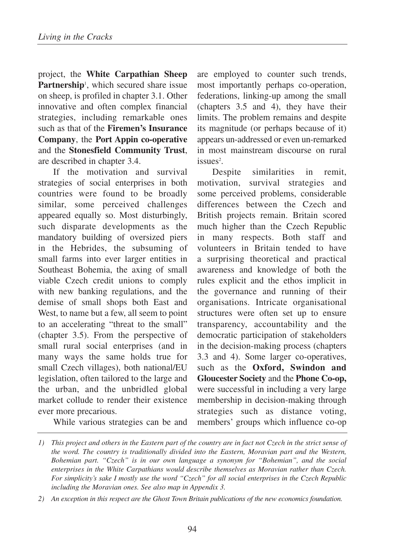project, the **White Carpathian Sheep** Partnership<sup>1</sup>, which secured share issue on sheep, is profiled in chapter 3.1. Other innovative and often complex financial strategies, including remarkable ones such as that of the **Firemen's Insurance Company**, the **Port Appin co-operative** and the **Stonesfield Community Trust**, are described in chapter 3.4.

If the motivation and survival strategies of social enterprises in both countries were found to be broadly similar, some perceived challenges appeared equally so. Most disturbingly, such disparate developments as the mandatory building of oversized piers in the Hebrides, the subsuming of small farms into ever larger entities in Southeast Bohemia, the axing of small viable Czech credit unions to comply with new banking regulations, and the demise of small shops both East and West, to name but a few, all seem to point to an accelerating "threat to the small" (chapter 3.5). From the perspective of small rural social enterprises (and in many ways the same holds true for small Czech villages), both national/EU legislation, often tailored to the large and the urban, and the unbridled global market collude to render their existence ever more precarious.

While various strategies can be and

are employed to counter such trends, most importantly perhaps co-operation, federations, linking-up among the small (chapters 3.5 and 4), they have their limits. The problem remains and despite its magnitude (or perhaps because of it) appears un-addressed or even un-remarked in most mainstream discourse on rural issues<sup>2</sup>.

Despite similarities in remit, motivation, survival strategies and some perceived problems, considerable differences between the Czech and British projects remain. Britain scored much higher than the Czech Republic in many respects. Both staff and volunteers in Britain tended to have a surprising theoretical and practical awareness and knowledge of both the rules explicit and the ethos implicit in the governance and running of their organisations. Intricate organisational structures were often set up to ensure transparency, accountability and the democratic participation of stakeholders in the decision-making process (chapters 3.3 and 4). Some larger co-operatives, such as the **Oxford, Swindon and Gloucester Society** and the **Phone Co-op,** were successful in including a very large membership in decision-making through strategies such as distance voting, members' groups which influence co-op

*<sup>1)</sup> This project and others in the Eastern part of the country are in fact not Czech in the strict sense of the word. The country is traditionally divided into the Eastern, Moravian part and the Western, Bohemian part. "Czech" is in our own language a synonym for "Bohemian", and the social enterprises in the White Carpathians would describe themselves as Moravian rather than Czech. For simplicity's sake I mostly use the word "Czech" for all social enterprises in the Czech Republic including the Moravian ones. See also map in Appendix 3.*

*<sup>2)</sup> An exception in this respect are the Ghost Town Britain publications of the new economics foundation.*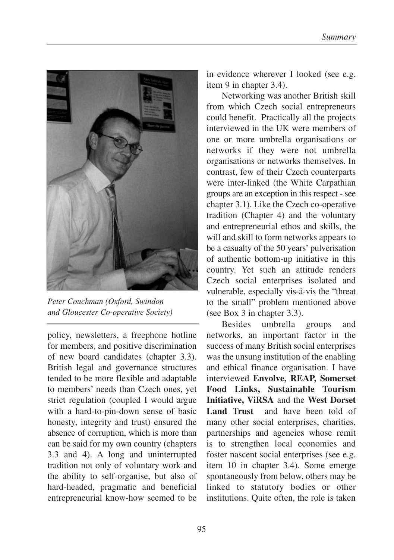

*Peter Couchman (Oxford, Swindon and Gloucester Co-operative Society)* 

policy, newsletters, a freephone hotline for members, and positive discrimination of new board candidates (chapter 3.3). British legal and governance structures tended to be more flexible and adaptable to members' needs than Czech ones, yet strict regulation (coupled I would argue with a hard-to-pin-down sense of basic honesty, integrity and trust) ensured the absence of corruption, which is more than can be said for my own country (chapters 3.3 and 4). A long and uninterrupted tradition not only of voluntary work and the ability to self-organise, but also of hard-headed, pragmatic and beneficial entrepreneurial know-how seemed to be

in evidence wherever I looked (see e.g. item 9 in chapter 3.4).

Networking was another British skill from which Czech social entrepreneurs could benefit. Practically all the projects interviewed in the UK were members of one or more umbrella organisations or networks if they were not umbrella organisations or networks themselves. In contrast, few of their Czech counterparts were inter-linked (the White Carpathian groups are an exception in this respect - see chapter 3.1). Like the Czech co-operative tradition (Chapter 4) and the voluntary and entrepreneurial ethos and skills, the will and skill to form networks appears to be a casualty of the 50 years' pulverisation of authentic bottom-up initiative in this country. Yet such an attitude renders Czech social enterprises isolated and vulnerable, especially vis-a-vis the "threat to the small" problem mentioned above (see Box 3 in chapter 3.3).

Besides umbrella groups and networks, an important factor in the success of many British social enterprises was the unsung institution of the enabling and ethical finance organisation. I have interviewed **Envolve, REAP, Somerset Food Links, Sustainable Tourism Initiative, ViRSA** and the **West Dorset** Land Trust and have been told of many other social enterprises, charities, partnerships and agencies whose remit is to strengthen local economies and foster nascent social enterprises (see e.g. item 10 in chapter 3.4). Some emerge spontaneously from below, others may be linked to statutory bodies or other institutions. Quite often, the role is taken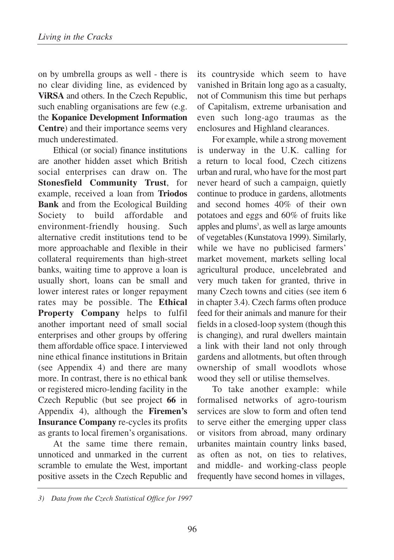on by umbrella groups as well - there is no clear dividing line, as evidenced by **ViRSA** and others. In the Czech Republic, such enabling organisations are few (e.g. the **Kopanice Development Information Centre**) and their importance seems very much underestimated.

Ethical (or social) finance institutions are another hidden asset which British social enterprises can draw on. The **Stonesfield Community Trust**, for example, received a loan from **Triodos Bank** and from the Ecological Building Society to build affordable and environment-friendly housing. Such alternative credit institutions tend to be more approachable and flexible in their collateral requirements than high-street banks, waiting time to approve a loan is usually short, loans can be small and lower interest rates or longer repayment rates may be possible. The **Ethical Property Company** helps to fulfil another important need of small social enterprises and other groups by offering them affordable office space. I interviewed nine ethical finance institutions in Britain (see Appendix 4) and there are many more. In contrast, there is no ethical bank or registered micro-lending facility in the Czech Republic (but see project **66** in Appendix 4), although the **Firemen's Insurance Company** re-cycles its profits as grants to local firemen's organisations.

At the same time there remain, unnoticed and unmarked in the current scramble to emulate the West, important positive assets in the Czech Republic and its countryside which seem to have vanished in Britain long ago as a casualty, not of Communism this time but perhaps of Capitalism, extreme urbanisation and even such long-ago traumas as the enclosures and Highland clearances.

For example, while a strong movement is underway in the U.K. calling for a return to local food, Czech citizens urban and rural, who have for the most part never heard of such a campaign, quietly continue to produce in gardens, allotments and second homes 40% of their own potatoes and eggs and 60% of fruits like apples and plums<sup>3</sup>, as well as large amounts of vegetables (Kunstatova 1999). Similarly, while we have no publicised farmers' market movement, markets selling local agricultural produce, uncelebrated and very much taken for granted, thrive in many Czech towns and cities (see item 6 in chapter 3.4). Czech farms often produce feed for their animals and manure for their fields in a closed-loop system (though this is changing), and rural dwellers maintain a link with their land not only through gardens and allotments, but often through ownership of small woodlots whose wood they sell or utilise themselves.

To take another example: while formalised networks of agro-tourism services are slow to form and often tend to serve either the emerging upper class or visitors from abroad, many ordinary urbanites maintain country links based, as often as not, on ties to relatives, and middle- and working-class people frequently have second homes in villages,

*<sup>3)</sup> Data from the Czech Statistical Office for 1997*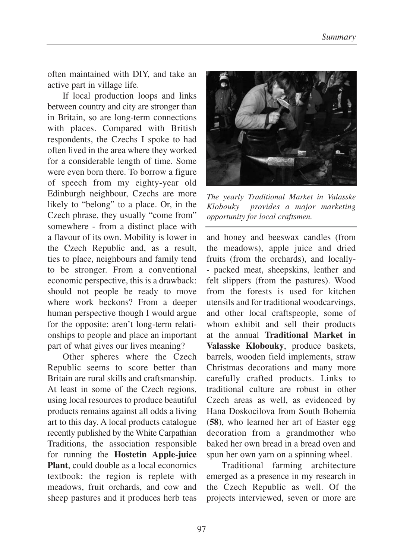often maintained with DIY, and take an active part in village life.

If local production loops and links between country and city are stronger than in Britain, so are long-term connections with places. Compared with British respondents, the Czechs I spoke to had often lived in the area where they worked for a considerable length of time. Some were even born there. To borrow a figure of speech from my eighty-year old Edinburgh neighbour, Czechs are more likely to "belong" to a place. Or, in the Czech phrase, they usually "come from" somewhere - from a distinct place with a flavour of its own. Mobility is lower in the Czech Republic and, as a result, ties to place, neighbours and family tend to be stronger. From a conventional economic perspective, this is a drawback: should not people be ready to move where work beckons? From a deeper human perspective though I would argue for the opposite: aren't long-term relationships to people and place an important part of what gives our lives meaning?

Other spheres where the Czech Republic seems to score better than Britain are rural skills and craftsmanship. At least in some of the Czech regions, using local resources to produce beautiful products remains against all odds a living art to this day. A local products catalogue recently published by the White Carpathian Traditions, the association responsible for running the **Hostetin Apple-juice Plant**, could double as a local economics textbook: the region is replete with meadows, fruit orchards, and cow and sheep pastures and it produces herb teas



*The yearly Traditional Market in Valasske Klobouky provides a major marketing opportunity for local craftsmen.* 

and honey and beeswax candles (from the meadows), apple juice and dried fruits (from the orchards), and locally- - packed meat, sheepskins, leather and felt slippers (from the pastures). Wood from the forests is used for kitchen utensils and for traditional woodcarvings, and other local craftspeople, some of whom exhibit and sell their products at the annual **Traditional Market in Valasske Klobouky**, produce baskets, barrels, wooden field implements, straw Christmas decorations and many more carefully crafted products. Links to traditional culture are robust in other Czech areas as well, as evidenced by Hana Doskocilova from South Bohemia (**58**), who learned her art of Easter egg decoration from a grandmother who baked her own bread in a bread oven and spun her own yarn on a spinning wheel.

Traditional farming architecture emerged as a presence in my research in the Czech Republic as well. Of the projects interviewed, seven or more are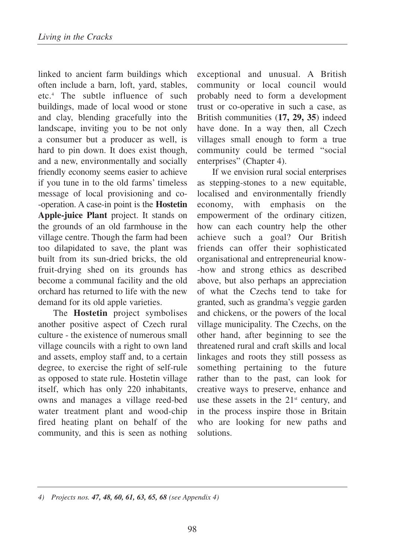linked to ancient farm buildings which often include a barn, loft, yard, stables, etc.4 The subtle influence of such buildings, made of local wood or stone and clay, blending gracefully into the landscape, inviting you to be not only a consumer but a producer as well, is hard to pin down. It does exist though, and a new, environmentally and socially friendly economy seems easier to achieve if you tune in to the old farms' timeless message of local provisioning and co- -operation. A case-in point is the **Hostetin Apple-juice Plant** project. It stands on the grounds of an old farmhouse in the village centre. Though the farm had been too dilapidated to save, the plant was built from its sun-dried bricks, the old fruit-drying shed on its grounds has become a communal facility and the old orchard has returned to life with the new demand for its old apple varieties.

The **Hostetin** project symbolises another positive aspect of Czech rural culture - the existence of numerous small village councils with a right to own land and assets, employ staff and, to a certain degree, to exercise the right of self-rule as opposed to state rule. Hostetin village itself, which has only 220 inhabitants, owns and manages a village reed-bed water treatment plant and wood-chip fired heating plant on behalf of the community, and this is seen as nothing

exceptional and unusual. A British community or local council would probably need to form a development trust or co-operative in such a case, as British communities (**17, 29, 35**) indeed have done. In a way then, all Czech villages small enough to form a true community could be termed "social enterprises" (Chapter 4).

If we envision rural social enterprises as stepping-stones to a new equitable, localised and environmentally friendly economy, with emphasis on the empowerment of the ordinary citizen, how can each country help the other achieve such a goal? Our British friends can offer their sophisticated organisational and entrepreneurial know- -how and strong ethics as described above, but also perhaps an appreciation of what the Czechs tend to take for granted, such as grandma's veggie garden and chickens, or the powers of the local village municipality. The Czechs, on the other hand, after beginning to see the threatened rural and craft skills and local linkages and roots they still possess as something pertaining to the future rather than to the past, can look for creative ways to preserve, enhance and use these assets in the  $21<sup>st</sup>$  century, and in the process inspire those in Britain who are looking for new paths and solutions.

*4) Projects nos. 47, 48, 60, 61, 63, 65, 68 (see Appendix 4)*